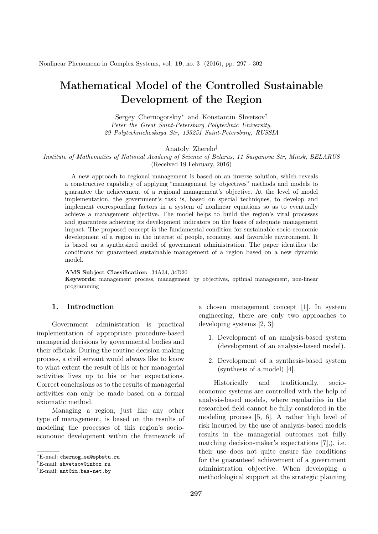# Mathematical Model of the Controlled Sustainable Development of the Region

Sergey Chernogorskiy<sup>∗</sup> and Konstantin Shvetsov† Peter the Great Saint-Petersburg Polytechnic University, 29 Polytechnicheskaya Str, 195251 Saint-Petersburg, RUSSIA

Anatoly Zherelo‡

Institute of Mathematics of National Academy of Science of Belarus, 11 Surganova Str, Minsk, BELARUS (Received 19 February, 2016)

A new approach to regional management is based on an inverse solution, which reveals a constructive capability of applying "management by objectives" methods and models to guarantee the achievement of a regional management's objective. At the level of model implementation, the government's task is, based on special techniques, to develop and implement corresponding factors in a system of nonlinear equations so as to eventually achieve a management objective. The model helps to build the region's vital processes and guarantees achieving its development indicators on the basis of adequate management impact. The proposed concept is the fundamental condition for sustainable socio-economic development of a region in the interest of people, economy, and favorable environment. It is based on a synthesized model of government administration. The paper identifies the conditions for guaranteed sustainable management of a region based on a new dynamic model.

AMS Subject Classification: 34A34, 34D20

Keywords: management process, management by objectives, optimal management, non-linear programming

## 1. Introduction

Government administration is practical implementation of appropriate procedure-based managerial decisions by governmental bodies and their officials. During the routine decision-making process, a civil servant would always like to know to what extent the result of his or her managerial activities lives up to his or her expectations. Correct conclusions as to the results of managerial activities can only be made based on a formal axiomatic method.

Managing a region, just like any other type of management, is based on the results of modeling the processes of this region's socioeconomic development within the framework of a chosen management concept [1]. In system engineering, there are only two approaches to developing systems [2, 3]:

- 1. Development of an analysis-based system (development of an analysis-based model).
- 2. Development of a synthesis-based system (synthesis of a model) [4].

Historically and traditionally, socioeconomic systems are controlled with the help of analysis-based models, where regularities in the researched field cannot be fully considered in the modeling process [5, 6]. A rather high level of risk incurred by the use of analysis-based models results in the managerial outcomes not fully matching decision-maker's expectations [7],), i.e. their use does not quite ensure the conditions for the guaranteed achievement of a government administration objective. When developing a methodological support at the strategic planning

<sup>∗</sup>E-mail: chernog\_sa@spbstu.ru

<sup>†</sup>E-mail: shvetsov@inbox.ru

<sup>‡</sup>E-mail: ant@im.bas-net.by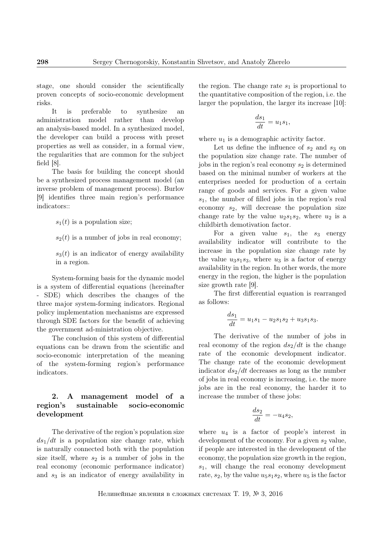stage, one should consider the scientifically proven concepts of socio-economic development risks.

It is preferable to synthesize an administration model rather than develop an analysis-based model. In a synthesized model, the developer can build a process with preset properties as well as consider, in a formal view, the regularities that are common for the subject field  $[8]$ .

The basis for building the concept should be a synthesized process management model (an inverse problem of management process). Burlov [9] identifies three main region's performance indicators::

 $s_1(t)$  is a population size;

 $s_2(t)$  is a number of jobs in real economy;

 $s_3(t)$  is an indicator of energy availability in a region.

System-forming basis for the dynamic model is a system of differential equations (hereinafter - SDE) which describes the changes of the three major system-forming indicators. Regional policy implementation mechanisms are expressed through SDE factors for the benefit of achieving the government ad-ministration objective.

The conclusion of this system of differential equations can be drawn from the scientific and socio-economic interpretation of the meaning of the system-forming region's performance indicators.

# 2. A management model of a region's sustainable socio-economic development

The derivative of the region's population size  $ds_1/dt$  is a population size change rate, which is naturally connected both with the population size itself, where  $s_2$  is a number of jobs in the real economy (economic performance indicator) and  $s<sub>3</sub>$  is an indicator of energy availability in

the region. The change rate  $s_1$  is proportional to the quantitative composition of the region, i.e. the larger the population, the larger its increase [10]:

$$
\frac{ds_1}{dt} = u_1 s_1,
$$

where  $u_1$  is a demographic activity factor.

Let us define the influence of  $s_2$  and  $s_3$  on the population size change rate. The number of jobs in the region's real economy  $s_2$  is determined based on the minimal number of workers at the enterprises needed for production of a certain range of goods and services. For a given value  $s_1$ , the number of filled jobs in the region's real economy  $s_2$ , will decrease the population size change rate by the value  $u_2s_1s_2$ , where  $u_2$  is a childbirth demotivation factor.

For a given value  $s_1$ , the  $s_3$  energy availability indicator will contribute to the increase in the population size change rate by the value  $u_3s_1s_3$ , where  $u_3$  is a factor of energy availability in the region. In other words, the more energy in the region, the higher is the population size growth rate [9].

The first differential equation is rearranged as follows:

$$
\frac{ds_1}{dt} = u_1s_1 - u_2s_1s_2 + u_3s_1s_3.
$$

The derivative of the number of jobs in real economy of the region  $ds_2/dt$  is the change rate of the economic development indicator. The change rate of the economic development indicator  $ds_2/dt$  decreases as long as the number of jobs in real economy is increasing, i.e. the more jobs are in the real economy, the harder it to increase the number of these jobs:

$$
\frac{ds_2}{dt} = -u_4 s_2,
$$

where  $u_4$  is a factor of people's interest in development of the economy. For a given  $s_2$  value, if people are interested in the development of the economy, the population size growth in the region,  $s_1$ , will change the real economy development rate,  $s_2$ , by the value  $u_5s_1s_2$ , where  $u_5$  is the factor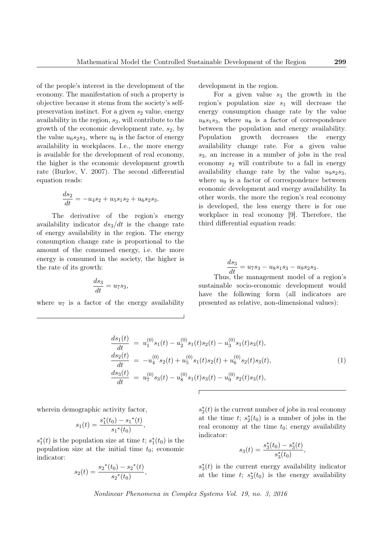of the people's interest in the development of the economy. The manifestation of such a property is objective because it stems from the society's selfpreservation instinct. For a given  $s_2$  value, energy availability in the region,  $s_3$ , will contribute to the growth of the economic development rate,  $s_2$ , by the value  $u_6s_2s_3$ , where  $u_6$  is the factor of energy availability in workplaces. I.e., the more energy is available for the development of real economy, the higher is the economic development growth rate (Burlov, V. 2007). The second differential equation reads:

$$
\frac{ds_2}{dt} = -u_4s_2 + u_5s_1s_2 + u_6s_2s_3.
$$

The derivative of the region's energy availability indicator  $ds_3/dt$  is the change rate of energy availability in the region. The energy consumption change rate is proportional to the amount of the consumed energy, i.e. the more energy is consumed in the society, the higher is the rate of its growth:

$$
\frac{ds_3}{dt} = u_7 s_3,
$$

where  $u_7$  is a factor of the energy availability

development in the region.

For a given value  $s_3$  the growth in the region's population size  $s_1$  will decrease the energy consumption change rate by the value  $u_8s_1s_3$ , where  $u_8$  is a factor of correspondence between the population and energy availability. Population growth decreases the energy availability change rate. For a given value  $s_3$ , an increase in a number of jobs in the real economy  $s_2$  will contribute to a fall in energy availability change rate by the value  $u_9s_2s_3$ , where  $u_9$  is a factor of correspondence between economic development and energy availability. In other words, the more the region's real economy is developed, the less energy there is for one workplace in real economy [9]. Therefore, the third differential equation reads:

$$
\frac{ds_3}{dt} = u_7s_3 - u_8s_1s_3 - u_9s_2s_3.
$$

Thus, the management model of a region's sustainable socio-economic development would have the following form (all indicators are presented as relative, non-dimensional values):

$$
\frac{ds_1(t)}{dt} = u_1^{(0)}s_1(t) - u_2^{(0)}s_1(t)s_2(t) - u_3^{(0)}s_1(t)s_3(t),
$$
\n
$$
\frac{ds_2(t)}{dt} = -u_4^{(0)}s_2(t) + u_5^{(0)}s_1(t)s_2(t) + u_6^{(0)}s_2(t)s_3(t),
$$
\n
$$
\frac{ds_3(t)}{dt} = u_7^{(0)}s_3(t) - u_8^{(0)}s_1(t)s_3(t) - u_9^{(0)}s_2(t)s_3(t),
$$
\n(1)

wherein demographic activity factor,

$$
s_1(t) = \frac{s_1^*(t_0) - s_1^*(t)}{s_1^*(t_0)},
$$

 $s_1^*(t)$  is the population size at time t;  $s_1^*(t_0)$  is the population size at the initial time  $t_0$ ; economic indicator:

$$
s_2(t) = \frac{s_2^*(t_0) - s_2^*(t)}{s_2^*(t_0)},
$$

 $s_2^*(t)$  is the current number of jobs in real economy at the time  $t$ ;  $s_2^*(t_0)$  is a number of jobs in the real economy at the time  $t_0$ ; energy availability indicator:

$$
s_3(t) = \frac{s_3^*(t_0) - s_3^*(t)}{s_3^*(t_0)},
$$

 $s_3^*(t)$  is the current energy availability indicator at the time  $t$ ;  $s_3^*(t_0)$  is the energy availability

Nonlinear Phenomena in Complex Systems Vol. 19, no. 3, 2016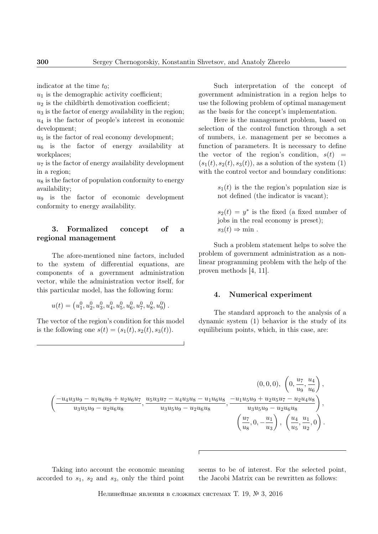indicator at the time  $t_0$ ;

 $u_1$  is the demographic activity coefficient;

 $u_2$  is the childbirth demotivation coefficient;

 $u_3$  is the factor of energy availability in the region;  $u_4$  is the factor of people's interest in economic development;

 $u_5$  is the factor of real economy development;

 $u_6$  is the factor of energy availability at workplaces;

 $u_7$  is the factor of energy availability development in a region;

 $u<sub>8</sub>$  is the factor of population conformity to energy availability;

 $u_9$  is the factor of economic development conformity to energy availability.

### 3. Formalized concept of a regional management

The afore-mentioned nine factors, included to the system of differential equations, are components of a government administration vector, while the administration vector itself, for this particular model, has the following form:

$$
u(t) = \left(u_1^0, u_2^0, u_3^0, u_4^0, u_5^0, u_6^0, u_7^0, u_8^0, u_9^0\right).
$$

The vector of the region's condition for this model is the following one  $s(t) = (s_1(t), s_2(t), s_3(t)).$ 

Such interpretation of the concept of government administration in a region helps to use the following problem of optimal management as the basis for the concept's implementation.

Here is the management problem, based on selection of the control function through a set of numbers, i.e. management per se becomes a function of parameters. It is necessary to define the vector of the region's condition,  $s(t)$  =  $(s_1(t), s_2(t), s_3(t))$ , as a solution of the system (1) with the control vector and boundary conditions:

> $s_1(t)$  is the the region's population size is not defined (the indicator is vacant);

> $s_2(t) = y^*$  is the fixed (a fixed number of jobs in the real economy is preset);  $s_3(t) \Rightarrow \min$ .

Such a problem statement helps to solve the problem of government administration as a nonlinear programming problem with the help of the proven methods [4, 11].

#### 4. Numerical experiment

The standard approach to the analysis of a dynamic system (1) behavior is the study of its equilibrium points, which, in this case, are:

$$
\left(\frac{-u_4u_3u_9 - u_1u_6u_9 + u_2u_6u_7}{u_3u_5u_9 - u_2u_6u_8}, \frac{u_5u_3u_7 - u_4u_3u_8 - u_1u_6u_8}{u_3u_5u_9 - u_2u_6u_8}, \frac{-u_1u_5u_9 + u_2u_5u_7 - u_2u_4u_8}{u_3u_5u_9 - u_2u_6u_8}\right),\n\left(\frac{u_7}{u_8}, 0, -\frac{u_1}{u_3}\right), \left(\frac{u_4}{u_5}, \frac{u_1}{u_2}, 0\right).
$$

Taking into account the economic meaning accorded to  $s_1$ ,  $s_2$  and  $s_3$ , only the third point seems to be of interest. For the selected point, the Jacobi Matrix can be rewritten as follows: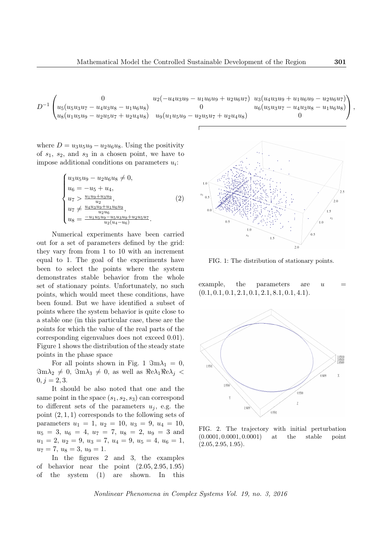$$
D^{-1}\begin{pmatrix} 0 & u_2(-u_4u_3u_9 - u_1u_6u_9 + u_2u_6u_7) & u_3(u_4u_3u_9 + u_1u_6u_9 - u_2u_6u_7) \ u_5(u_5u_3u_7 - u_4u_3u_8 - u_1u_6u_8) & 0 & u_6(u_5u_3u_7 - u_4u_3u_8 - u_1u_6u_8) \ u_8(u_1u_5u_9 - u_2u_5u_7 + u_2u_4u_8) & u_9(u_1u_5u_9 - u_2u_5u_7 + u_2u_4u_8) & 0 \end{pmatrix},
$$

where  $D = u_3u_5u_9 - u_2u_6u_8$ . Using the positivity of  $s_1$ ,  $s_2$ , and  $s_3$  in a chosen point, we have to impose additional conditions on parameters  $u_i$ :

$$
\begin{cases}\nu_3 u_5 u_9 - u_2 u_6 u_8 \neq 0, \\
u_6 = -u_5 + u_4, \\
u_7 > \frac{u_1 u_9 + u_3 u_9}{u_2}, \\
u_7 \neq \frac{u_4 u_3 u_9 + u_1 u_6 u_9}{u_2 u_6}, \\
u_8 = \frac{-u_1 u_5 u_9 - u_5 u_3 u_9 + u_2 u_5 u_7}{u_2 (u_4 - u_6)}.\n\end{cases} \tag{2}
$$

Numerical experiments have been carried out for a set of parameters defined by the grid: they vary from from 1 to 10 with an increment equal to 1. The goal of the experiments have been to select the points where the system demonstrates stable behavior from the whole set of stationary points. Unfortunately, no such points, which would meet these conditions, have been found. But we have identified a subset of points where the system behavior is quite close to a stable one (in this particular case, these are the points for which the value of the real parts of the corresponding eigenvalues does not exceed 0.01). Figure 1 shows the distribution of the steady state points in the phase space

For all points shown in Fig. 1  $\Im m\lambda_1 = 0$ ,  $\Im m\lambda_2 \neq 0$ ,  $\Im m\lambda_3 \neq 0$ , as well as  $\Re e\lambda_1 \Re e\lambda_3$  $0, j = 2, 3.$ 

It should be also noted that one and the same point in the space  $(s_1, s_2, s_3)$  can correspond to different sets of the parameters  $u_i$ , e.g. the point  $(2, 1, 1)$  corresponds to the following sets of parameters  $u_1 = 1, u_2 = 10, u_3 = 9, u_4 = 10,$  $u_5 = 3, u_6 = 4, u_7 = 7, u_8 = 2, u_9 = 3$  and  $u_1 = 2, u_2 = 9, u_3 = 7, u_4 = 9, u_5 = 4, u_6 = 1,$  $u_7 = 7, u_8 = 3, u_9 = 1.$ 

In the figures 2 and 3, the examples of behavior near the point  $(2.05, 2.95, 1.95)$ of the system (1) are shown. In this



FIG. 1: The distribution of stationary points.

example, the parameters are  $u$  $(0.1, 0.1, 0.1, 2.1, 0.1, 2.1, 8.1, 0.1, 4.1).$ 



FIG. 2. The trajectory with initial perturbation (0.0001, 0.0001, 0.0001) at the stable point  $(2.05, 2.95, 1.95).$ 

Nonlinear Phenomena in Complex Systems Vol. 19, no. 3, 2016